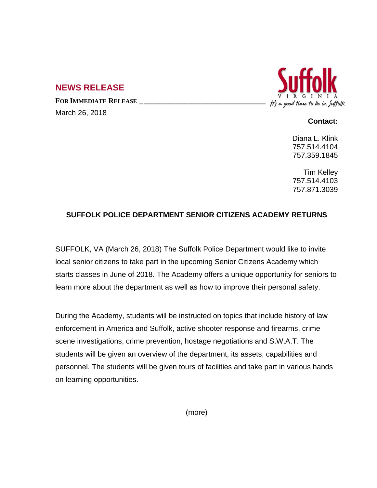## **NEWS RELEASE**

**FOR IMMEDIATE RELEASE \_\_\_\_\_\_\_\_\_\_\_\_\_\_\_\_\_\_\_\_\_\_\_\_\_\_\_\_\_\_\_\_\_\_**

March 26, 2018



## **Contact:**

Diana L. Klink 757.514.4104 757.359.1845

Tim Kelley 757.514.4103 757.871.3039

## **SUFFOLK POLICE DEPARTMENT SENIOR CITIZENS ACADEMY RETURNS**

SUFFOLK, VA (March 26, 2018) The Suffolk Police Department would like to invite local senior citizens to take part in the upcoming Senior Citizens Academy which starts classes in June of 2018. The Academy offers a unique opportunity for seniors to learn more about the department as well as how to improve their personal safety.

During the Academy, students will be instructed on topics that include history of law enforcement in America and Suffolk, active shooter response and firearms, crime scene investigations, crime prevention, hostage negotiations and S.W.A.T. The students will be given an overview of the department, its assets, capabilities and personnel. The students will be given tours of facilities and take part in various hands on learning opportunities.

(more)